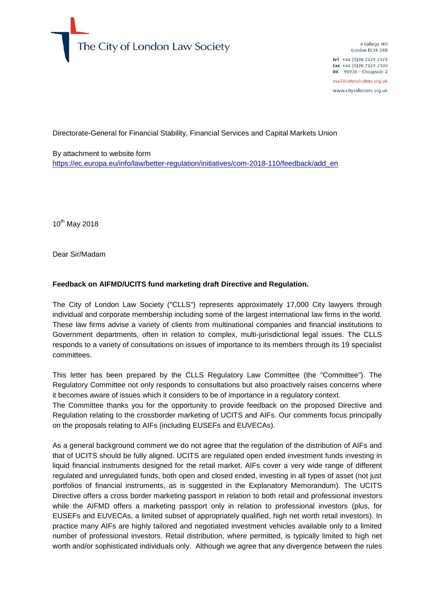

4 College Hill London EC4R 2RB Tel +44 (0)20 7329 2173 Fax +44 (0)20 7329 2190 DX 98936 - Cheapside 2 mail@citysolicitors.org.uk

www.citysolicitors.org.uk

Directorate-General for Financial Stability, Financial Services and Capital Markets Union

By attachment to website form [https://ec.europa.eu/info/law/better-regulation/initiatives/com-2018-110/feedback/add\\_en](https://ec.europa.eu/info/law/better-regulation/initiatives/com-2018-110/feedback/add_en)

 $10^{th}$  May 2018

Dear Sir/Madam

#### **Feedback on AIFMD/UCITS fund marketing draft Directive and Regulation.**

The City of London Law Society ("CLLS") represents approximately 17,000 City lawyers through individual and corporate membership including some of the largest international law firms in the world. These law firms advise a variety of clients from multinational companies and financial institutions to Government departments, often in relation to complex, multi-jurisdictional legal issues. The CLLS responds to a variety of consultations on issues of importance to its members through its 19 specialist committees.

This letter has been prepared by the CLLS Regulatory Law Committee (the "Committee"). The Regulatory Committee not only responds to consultations but also proactively raises concerns where it becomes aware of issues which it considers to be of importance in a regulatory context.

The Committee thanks you for the opportunity to provide feedback on the proposed Directive and Regulation relating to the crossborder marketing of UCITS and AIFs. Our comments focus principally on the proposals relating to AIFs (including EUSEFs and EUVECAs).

As a general background comment we do not agree that the regulation of the distribution of AIFs and that of UCITS should be fully aligned. UCITS are regulated open ended investment funds investing in liquid financial instruments designed for the retail market. AIFs cover a very wide range of different regulated and unregulated funds, both open and closed ended, investing in all types of asset (not just portfolios of financial instruments, as is suggested in the Explanatory Memorandum). The UCITS Directive offers a cross border marketing passport in relation to both retail and professional investors while the AIFMD offers a marketing passport only in relation to professional investors (plus, for EUSEFs and EUVECAs, a limited subset of appropriately qualified, high net worth retail investors). In practice many AIFs are highly tailored and negotiated investment vehicles available only to a limited number of professional investors. Retail distribution, where permitted, is typically limited to high net worth and/or sophisticated individuals only. Although we agree that any divergence between the rules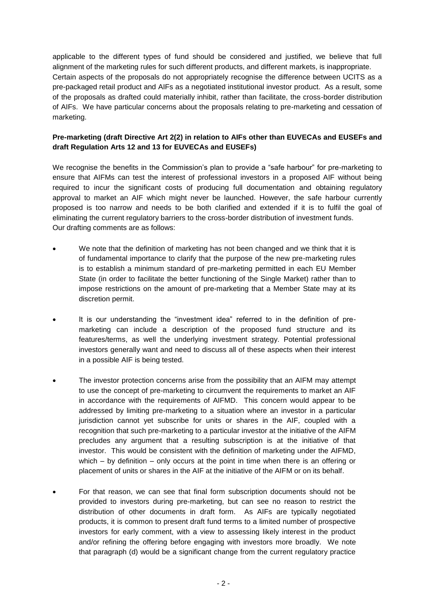applicable to the different types of fund should be considered and justified, we believe that full alignment of the marketing rules for such different products, and different markets, is inappropriate. Certain aspects of the proposals do not appropriately recognise the difference between UCITS as a pre-packaged retail product and AIFs as a negotiated institutional investor product. As a result, some of the proposals as drafted could materially inhibit, rather than facilitate, the cross-border distribution of AIFs. We have particular concerns about the proposals relating to pre-marketing and cessation of marketing.

# **Pre-marketing (draft Directive Art 2(2) in relation to AIFs other than EUVECAs and EUSEFs and draft Regulation Arts 12 and 13 for EUVECAs and EUSEFs)**

We recognise the benefits in the Commission's plan to provide a "safe harbour" for pre-marketing to ensure that AIFMs can test the interest of professional investors in a proposed AIF without being required to incur the significant costs of producing full documentation and obtaining regulatory approval to market an AIF which might never be launched. However, the safe harbour currently proposed is too narrow and needs to be both clarified and extended if it is to fulfil the goal of eliminating the current regulatory barriers to the cross-border distribution of investment funds. Our drafting comments are as follows:

- We note that the definition of marketing has not been changed and we think that it is of fundamental importance to clarify that the purpose of the new pre-marketing rules is to establish a minimum standard of pre-marketing permitted in each EU Member State (in order to facilitate the better functioning of the Single Market) rather than to impose restrictions on the amount of pre-marketing that a Member State may at its discretion permit.
- It is our understanding the "investment idea" referred to in the definition of premarketing can include a description of the proposed fund structure and its features/terms, as well the underlying investment strategy. Potential professional investors generally want and need to discuss all of these aspects when their interest in a possible AIF is being tested.
- The investor protection concerns arise from the possibility that an AIFM may attempt to use the concept of pre-marketing to circumvent the requirements to market an AIF in accordance with the requirements of AIFMD. This concern would appear to be addressed by limiting pre-marketing to a situation where an investor in a particular jurisdiction cannot yet subscribe for units or shares in the AIF, coupled with a recognition that such pre-marketing to a particular investor at the initiative of the AIFM precludes any argument that a resulting subscription is at the initiative of that investor. This would be consistent with the definition of marketing under the AIFMD, which  $-$  by definition  $-$  only occurs at the point in time when there is an offering or placement of units or shares in the AIF at the initiative of the AIFM or on its behalf.
- For that reason, we can see that final form subscription documents should not be provided to investors during pre-marketing, but can see no reason to restrict the distribution of other documents in draft form. As AIFs are typically negotiated products, it is common to present draft fund terms to a limited number of prospective investors for early comment, with a view to assessing likely interest in the product and/or refining the offering before engaging with investors more broadly. We note that paragraph (d) would be a significant change from the current regulatory practice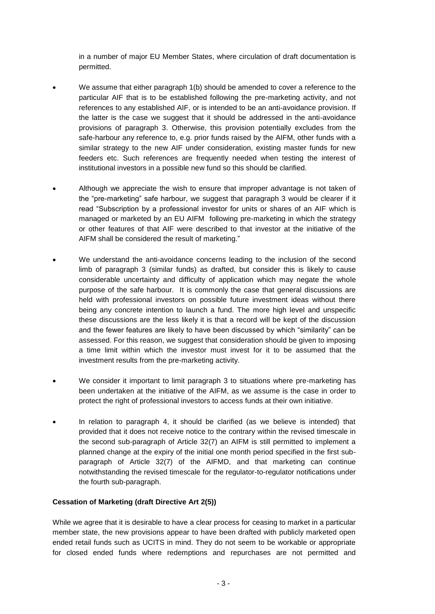in a number of major EU Member States, where circulation of draft documentation is permitted.

- We assume that either paragraph 1(b) should be amended to cover a reference to the particular AIF that is to be established following the pre-marketing activity, and not references to any established AIF, or is intended to be an anti-avoidance provision. If the latter is the case we suggest that it should be addressed in the anti-avoidance provisions of paragraph 3. Otherwise, this provision potentially excludes from the safe-harbour any reference to, e.g. prior funds raised by the AIFM, other funds with a similar strategy to the new AIF under consideration, existing master funds for new feeders etc. Such references are frequently needed when testing the interest of institutional investors in a possible new fund so this should be clarified.
- Although we appreciate the wish to ensure that improper advantage is not taken of the "pre-marketing" safe harbour, we suggest that paragraph 3 would be clearer if it read "Subscription by a professional investor for units or shares of an AIF which is managed or marketed by an EU AIFM following pre-marketing in which the strategy or other features of that AIF were described to that investor at the initiative of the AIFM shall be considered the result of marketing."
- We understand the anti-avoidance concerns leading to the inclusion of the second limb of paragraph 3 (similar funds) as drafted, but consider this is likely to cause considerable uncertainty and difficulty of application which may negate the whole purpose of the safe harbour. It is commonly the case that general discussions are held with professional investors on possible future investment ideas without there being any concrete intention to launch a fund. The more high level and unspecific these discussions are the less likely it is that a record will be kept of the discussion and the fewer features are likely to have been discussed by which "similarity" can be assessed. For this reason, we suggest that consideration should be given to imposing a time limit within which the investor must invest for it to be assumed that the investment results from the pre-marketing activity.
- We consider it important to limit paragraph 3 to situations where pre-marketing has been undertaken at the initiative of the AIFM, as we assume is the case in order to protect the right of professional investors to access funds at their own initiative.
- In relation to paragraph 4, it should be clarified (as we believe is intended) that provided that it does not receive notice to the contrary within the revised timescale in the second sub-paragraph of Article 32(7) an AIFM is still permitted to implement a planned change at the expiry of the initial one month period specified in the first subparagraph of Article 32(7) of the AIFMD, and that marketing can continue notwithstanding the revised timescale for the regulator-to-regulator notifications under the fourth sub-paragraph.

#### **Cessation of Marketing (draft Directive Art 2(5))**

While we agree that it is desirable to have a clear process for ceasing to market in a particular member state, the new provisions appear to have been drafted with publicly marketed open ended retail funds such as UCITS in mind. They do not seem to be workable or appropriate for closed ended funds where redemptions and repurchases are not permitted and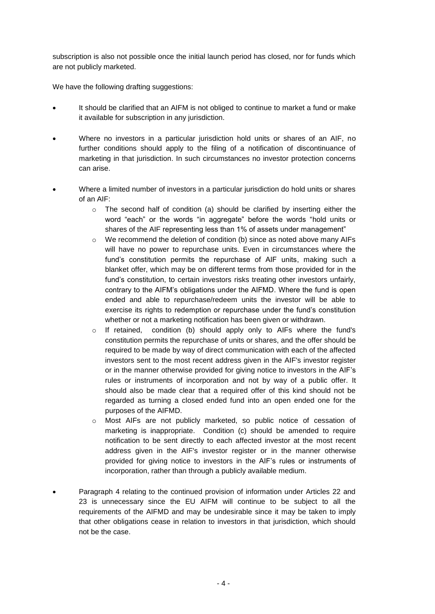subscription is also not possible once the initial launch period has closed, nor for funds which are not publicly marketed.

We have the following drafting suggestions:

- It should be clarified that an AIFM is not obliged to continue to market a fund or make it available for subscription in any jurisdiction.
- Where no investors in a particular jurisdiction hold units or shares of an AIF, no further conditions should apply to the filing of a notification of discontinuance of marketing in that jurisdiction. In such circumstances no investor protection concerns can arise.
- Where a limited number of investors in a particular jurisdiction do hold units or shares of an AIF:
	- o The second half of condition (a) should be clarified by inserting either the word "each" or the words "in aggregate" before the words "hold units or shares of the AIF representing less than 1% of assets under management"
	- $\circ$  We recommend the deletion of condition (b) since as noted above many AIFs will have no power to repurchase units. Even in circumstances where the fund's constitution permits the repurchase of AIF units, making such a blanket offer, which may be on different terms from those provided for in the fund's constitution, to certain investors risks treating other investors unfairly, contrary to the AIFM's obligations under the AIFMD. Where the fund is open ended and able to repurchase/redeem units the investor will be able to exercise its rights to redemption or repurchase under the fund's constitution whether or not a marketing notification has been given or withdrawn.
	- o If retained, condition (b) should apply only to AIFs where the fund's constitution permits the repurchase of units or shares, and the offer should be required to be made by way of direct communication with each of the affected investors sent to the most recent address given in the AIF's investor register or in the manner otherwise provided for giving notice to investors in the AIF's rules or instruments of incorporation and not by way of a public offer. It should also be made clear that a required offer of this kind should not be regarded as turning a closed ended fund into an open ended one for the purposes of the AIFMD.
	- o Most AIFs are not publicly marketed, so public notice of cessation of marketing is inappropriate. Condition (c) should be amended to require notification to be sent directly to each affected investor at the most recent address given in the AIF's investor register or in the manner otherwise provided for giving notice to investors in the AIF's rules or instruments of incorporation, rather than through a publicly available medium.
- Paragraph 4 relating to the continued provision of information under Articles 22 and 23 is unnecessary since the EU AIFM will continue to be subject to all the requirements of the AIFMD and may be undesirable since it may be taken to imply that other obligations cease in relation to investors in that jurisdiction, which should not be the case.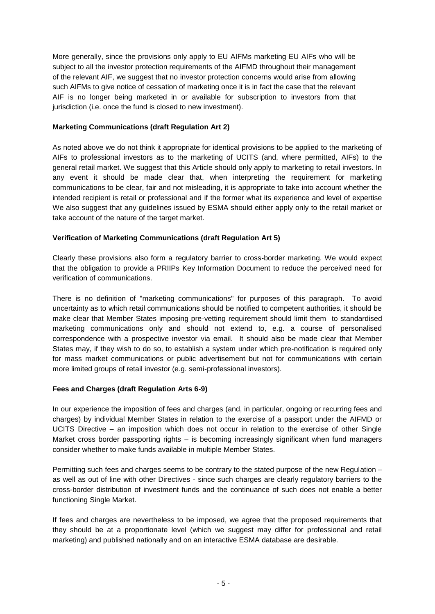More generally, since the provisions only apply to EU AIFMs marketing EU AIFs who will be subject to all the investor protection requirements of the AIFMD throughout their management of the relevant AIF, we suggest that no investor protection concerns would arise from allowing such AIFMs to give notice of cessation of marketing once it is in fact the case that the relevant AIF is no longer being marketed in or available for subscription to investors from that jurisdiction (i.e. once the fund is closed to new investment).

### **Marketing Communications (draft Regulation Art 2)**

As noted above we do not think it appropriate for identical provisions to be applied to the marketing of AIFs to professional investors as to the marketing of UCITS (and, where permitted, AIFs) to the general retail market. We suggest that this Article should only apply to marketing to retail investors. In any event it should be made clear that, when interpreting the requirement for marketing communications to be clear, fair and not misleading, it is appropriate to take into account whether the intended recipient is retail or professional and if the former what its experience and level of expertise We also suggest that any guidelines issued by ESMA should either apply only to the retail market or take account of the nature of the target market.

### **Verification of Marketing Communications (draft Regulation Art 5)**

Clearly these provisions also form a regulatory barrier to cross-border marketing. We would expect that the obligation to provide a PRIIPs Key Information Document to reduce the perceived need for verification of communications.

There is no definition of "marketing communications" for purposes of this paragraph. To avoid uncertainty as to which retail communications should be notified to competent authorities, it should be make clear that Member States imposing pre-vetting requirement should limit them to standardised marketing communications only and should not extend to, e.g. a course of personalised correspondence with a prospective investor via email. It should also be made clear that Member States may, if they wish to do so, to establish a system under which pre-notification is required only for mass market communications or public advertisement but not for communications with certain more limited groups of retail investor (e.g. semi-professional investors).

# **Fees and Charges (draft Regulation Arts 6-9)**

In our experience the imposition of fees and charges (and, in particular, ongoing or recurring fees and charges) by individual Member States in relation to the exercise of a passport under the AIFMD or UCITS Directive – an imposition which does not occur in relation to the exercise of other Single Market cross border passporting rights – is becoming increasingly significant when fund managers consider whether to make funds available in multiple Member States.

Permitting such fees and charges seems to be contrary to the stated purpose of the new Regulation – as well as out of line with other Directives - since such charges are clearly regulatory barriers to the cross-border distribution of investment funds and the continuance of such does not enable a better functioning Single Market.

If fees and charges are nevertheless to be imposed, we agree that the proposed requirements that they should be at a proportionate level (which we suggest may differ for professional and retail marketing) and published nationally and on an interactive ESMA database are desirable.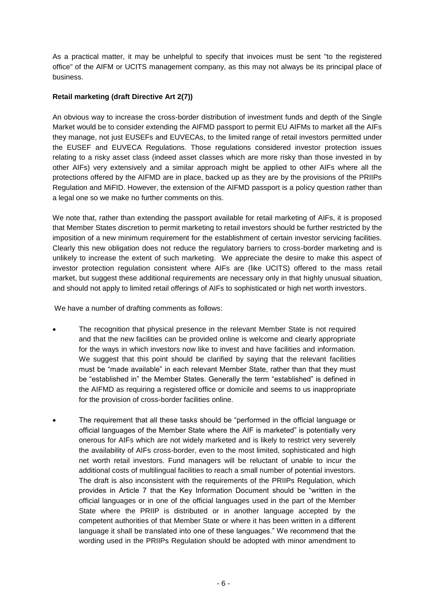As a practical matter, it may be unhelpful to specify that invoices must be sent "to the registered office" of the AIFM or UCITS management company, as this may not always be its principal place of business.

# **Retail marketing (draft Directive Art 2(7))**

An obvious way to increase the cross-border distribution of investment funds and depth of the Single Market would be to consider extending the AIFMD passport to permit EU AIFMs to market all the AIFs they manage, not just EUSEFs and EUVECAs, to the limited range of retail investors permitted under the EUSEF and EUVECA Regulations. Those regulations considered investor protection issues relating to a risky asset class (indeed asset classes which are more risky than those invested in by other AIFs) very extensively and a similar approach might be applied to other AIFs where all the protections offered by the AIFMD are in place, backed up as they are by the provisions of the PRIIPs Regulation and MiFID. However, the extension of the AIFMD passport is a policy question rather than a legal one so we make no further comments on this.

We note that, rather than extending the passport available for retail marketing of AIFs, it is proposed that Member States discretion to permit marketing to retail investors should be further restricted by the imposition of a new minimum requirement for the establishment of certain investor servicing facilities. Clearly this new obligation does not reduce the regulatory barriers to cross-border marketing and is unlikely to increase the extent of such marketing. We appreciate the desire to make this aspect of investor protection regulation consistent where AIFs are (like UCITS) offered to the mass retail market, but suggest these additional requirements are necessary only in that highly unusual situation, and should not apply to limited retail offerings of AIFs to sophisticated or high net worth investors.

We have a number of drafting comments as follows:

- The recognition that physical presence in the relevant Member State is not required and that the new facilities can be provided online is welcome and clearly appropriate for the ways in which investors now like to invest and have facilities and information. We suggest that this point should be clarified by saying that the relevant facilities must be "made available" in each relevant Member State, rather than that they must be "established in" the Member States. Generally the term "established" is defined in the AIFMD as requiring a registered office or domicile and seems to us inappropriate for the provision of cross-border facilities online.
- The requirement that all these tasks should be "performed in the official language or official languages of the Member State where the AIF is marketed" is potentially very onerous for AIFs which are not widely marketed and is likely to restrict very severely the availability of AIFs cross-border, even to the most limited, sophisticated and high net worth retail investors. Fund managers will be reluctant of unable to incur the additional costs of multilingual facilities to reach a small number of potential investors. The draft is also inconsistent with the requirements of the PRIIPs Regulation, which provides in Article 7 that the Key Information Document should be "written in the official languages or in one of the official languages used in the part of the Member State where the PRIIP is distributed or in another language accepted by the competent authorities of that Member State or where it has been written in a different language it shall be translated into one of these languages." We recommend that the wording used in the PRIIPs Regulation should be adopted with minor amendment to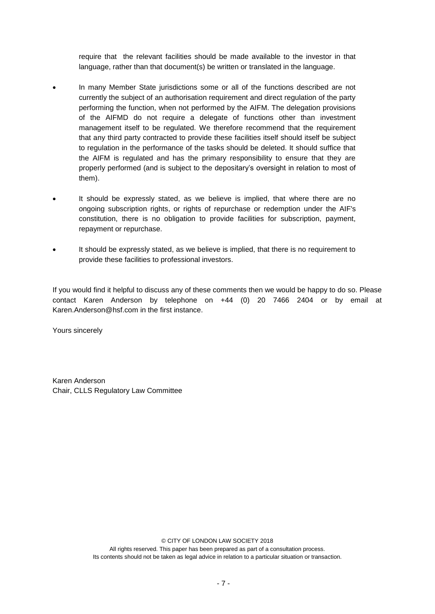require that the relevant facilities should be made available to the investor in that language, rather than that document(s) be written or translated in the language.

- In many Member State jurisdictions some or all of the functions described are not currently the subject of an authorisation requirement and direct regulation of the party performing the function, when not performed by the AIFM. The delegation provisions of the AIFMD do not require a delegate of functions other than investment management itself to be regulated. We therefore recommend that the requirement that any third party contracted to provide these facilities itself should itself be subject to regulation in the performance of the tasks should be deleted. It should suffice that the AIFM is regulated and has the primary responsibility to ensure that they are properly performed (and is subject to the depositary's oversight in relation to most of them).
- It should be expressly stated, as we believe is implied, that where there are no ongoing subscription rights, or rights of repurchase or redemption under the AIF's constitution, there is no obligation to provide facilities for subscription, payment, repayment or repurchase.
- It should be expressly stated, as we believe is implied, that there is no requirement to provide these facilities to professional investors.

If you would find it helpful to discuss any of these comments then we would be happy to do so. Please contact Karen Anderson by telephone on +44 (0) 20 7466 2404 or by email at Karen.Anderson@hsf.com in the first instance.

Yours sincerely

Karen Anderson Chair, CLLS Regulatory Law Committee

© CITY OF LONDON LAW SOCIETY 2018

All rights reserved. This paper has been prepared as part of a consultation process. Its contents should not be taken as legal advice in relation to a particular situation or transaction.